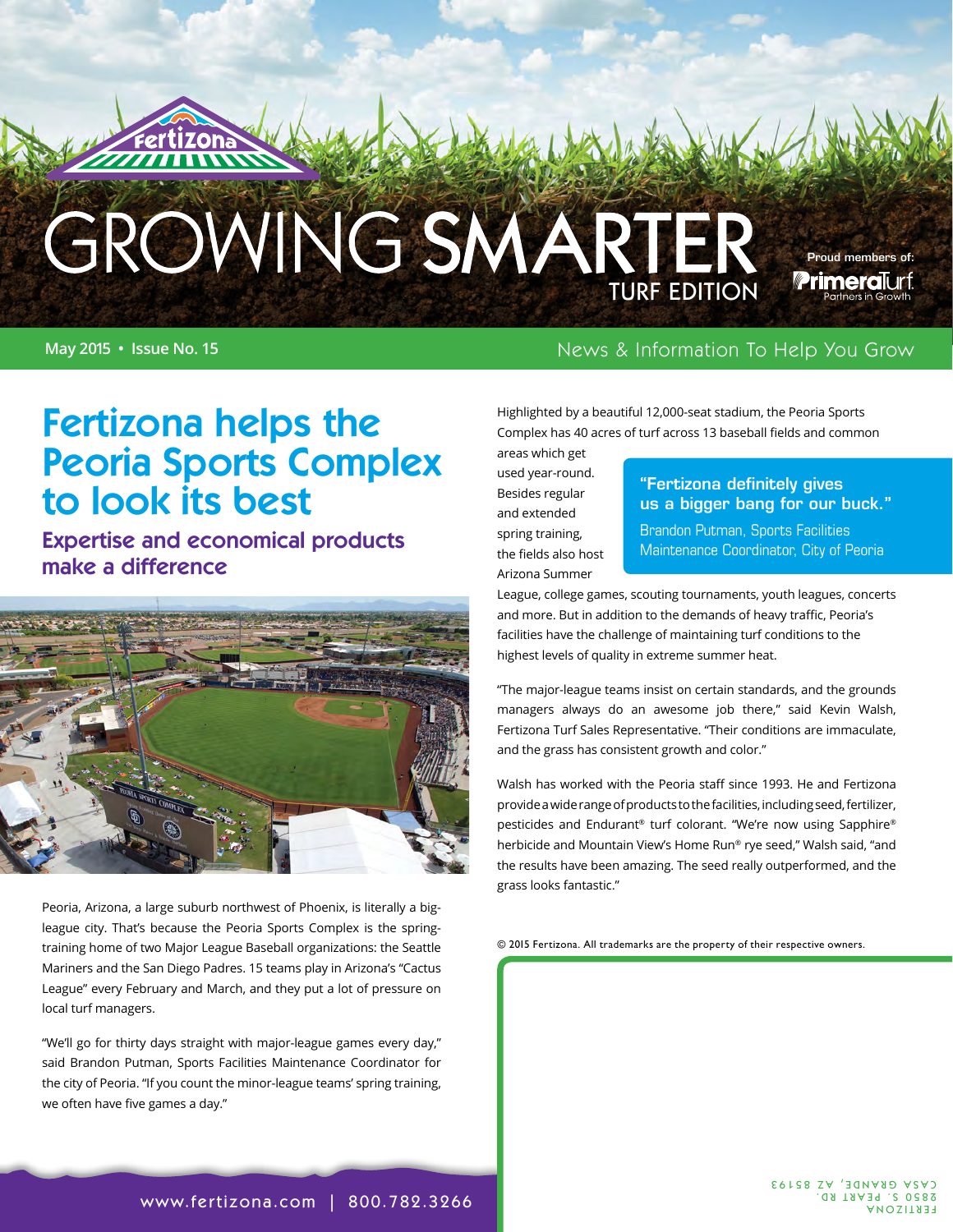# GROWING SMARTER

#### **May 2015 • Issue No. 15** News & Information To Help You Grow

Highlighted by a beautiful 12,000-seat stadium, the Peoria Sports Complex has 40 acres of turf across 13 baseball fields and common areas which get

used year-round. Besides regular and extended spring training, the fields also host Arizona Summer

#### "Fertizona definitely gives us a bigger bang for our buck."

Proud members of:**Primeral**urf

Brandon Putman, Sports Facilities Maintenance Coordinator, City of Peoria

League, college games, scouting tournaments, youth leagues, concerts and more. But in addition to the demands of heavy traffic, Peoria's facilities have the challenge of maintaining turf conditions to the highest levels of quality in extreme summer heat.

"The major-league teams insist on certain standards, and the grounds managers always do an awesome job there," said Kevin Walsh, Fertizona Turf Sales Representative. "Their conditions are immaculate, and the grass has consistent growth and color."

Walsh has worked with the Peoria staff since 1993. He and Fertizona provide a wide range of products to the facilities, including seed, fertilizer, pesticides and Endurant® turf colorant. "We're now using Sapphire® herbicide and Mountain View's Home Run® rye seed," Walsh said, "and the results have been amazing. The seed really outperformed, and the grass looks fantastic."

© 2015 Fertizona. All trademarks are the property of their respective owners.

## Fertizona helps the Peoria Sports Complex to look its best

Expertise and economical products make a difference



Peoria, Arizona, a large suburb northwest of Phoenix, is literally a bigleague city. That's because the Peoria Sports Complex is the springtraining home of two Major League Baseball organizations: the Seattle Mariners and the San Diego Padres. 15 teams play in Arizona's "Cactus League" every February and March, and they put a lot of pressure on local turf managers.

"We'll go for thirty days straight with major-league games every day," said Brandon Putman, Sports Facilities Maintenance Coordinator for the city of Peoria. "If you count the minor-league teams' spring training, we often have five games a day."

[www.fertizona.com](http://www.fertizona.com) | 800.782.3266